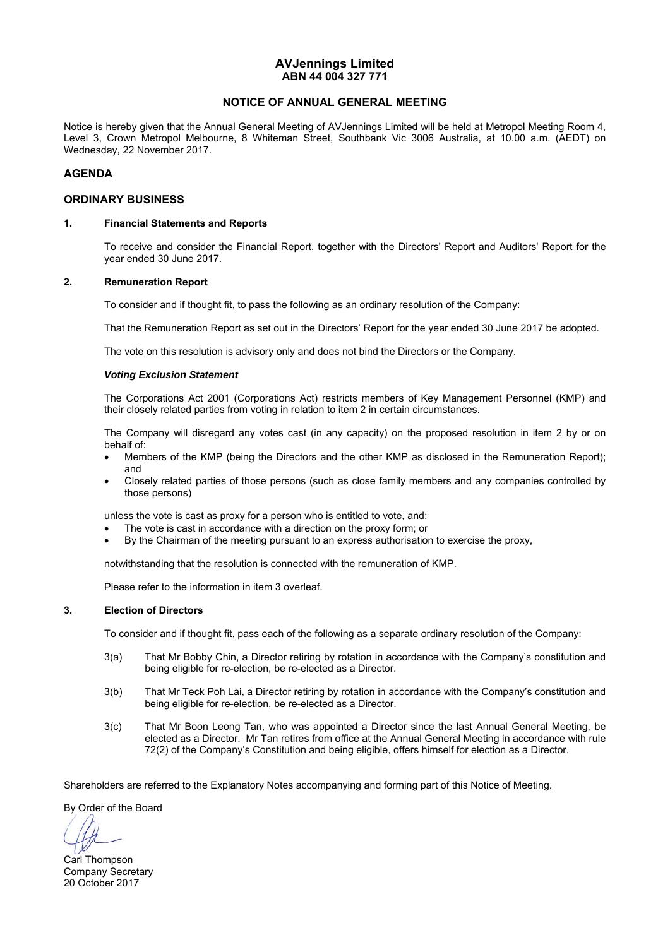### **AVJennings Limited ABN 44 004 327 771**

### **NOTICE OF ANNUAL GENERAL MEETING**

Notice is hereby given that the Annual General Meeting of AVJennings Limited will be held at Metropol Meeting Room 4, Level 3, Crown Metropol Melbourne, 8 Whiteman Street, Southbank Vic 3006 Australia, at 10.00 a.m. (AEDT) on Wednesday, 22 November 2017.

### **AGENDA**

### **ORDINARY BUSINESS**

### **1. Financial Statements and Reports**

To receive and consider the Financial Report, together with the Directors' Report and Auditors' Report for the year ended 30 June 2017.

### **2. Remuneration Report**

To consider and if thought fit, to pass the following as an ordinary resolution of the Company:

That the Remuneration Report as set out in the Directors' Report for the year ended 30 June 2017 be adopted.

The vote on this resolution is advisory only and does not bind the Directors or the Company.

#### *Voting Exclusion Statement*

 The Corporations Act 2001 (Corporations Act) restricts members of Key Management Personnel (KMP) and their closely related parties from voting in relation to item 2 in certain circumstances.

 The Company will disregard any votes cast (in any capacity) on the proposed resolution in item 2 by or on behalf of:

- Members of the KMP (being the Directors and the other KMP as disclosed in the Remuneration Report); and
- Closely related parties of those persons (such as close family members and any companies controlled by those persons)

unless the vote is cast as proxy for a person who is entitled to vote, and:

- The vote is cast in accordance with a direction on the proxy form; or
- By the Chairman of the meeting pursuant to an express authorisation to exercise the proxy,

notwithstanding that the resolution is connected with the remuneration of KMP.

Please refer to the information in item 3 overleaf.

### **3. Election of Directors**

To consider and if thought fit, pass each of the following as a separate ordinary resolution of the Company:

- 3(a) That Mr Bobby Chin, a Director retiring by rotation in accordance with the Company's constitution and being eligible for re-election, be re-elected as a Director.
- 3(b) That Mr Teck Poh Lai, a Director retiring by rotation in accordance with the Company's constitution and being eligible for re-election, be re-elected as a Director.
- 3(c) That Mr Boon Leong Tan, who was appointed a Director since the last Annual General Meeting, be elected as a Director. Mr Tan retires from office at the Annual General Meeting in accordance with rule 72(2) of the Company's Constitution and being eligible, offers himself for election as a Director.

Shareholders are referred to the Explanatory Notes accompanying and forming part of this Notice of Meeting.

By Order of the Board

Carl Thompson Company Secretary 20 October 2017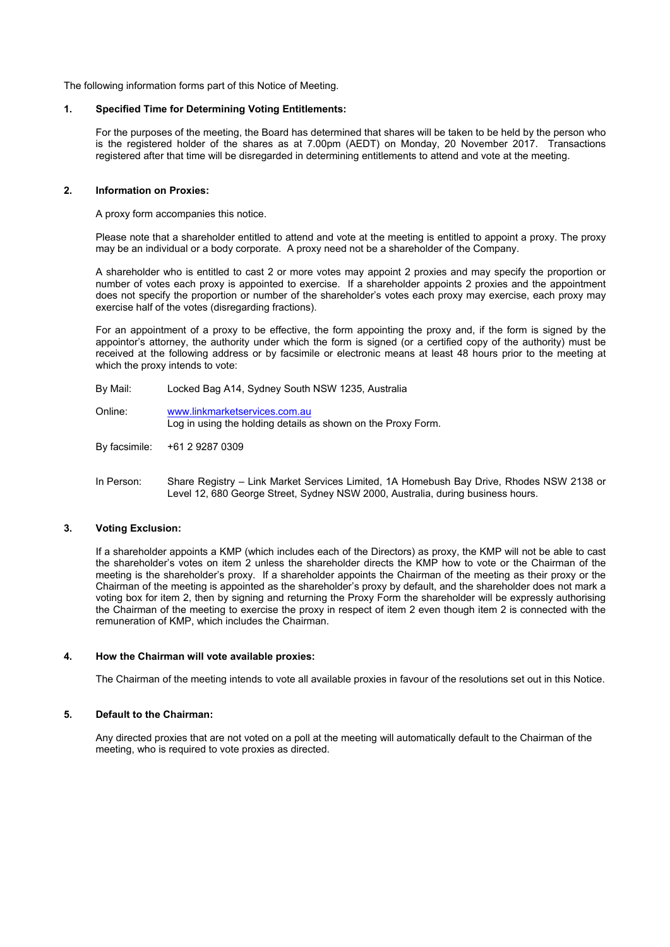The following information forms part of this Notice of Meeting.

### **1. Specified Time for Determining Voting Entitlements:**

For the purposes of the meeting, the Board has determined that shares will be taken to be held by the person who is the registered holder of the shares as at 7.00pm (AEDT) on Monday, 20 November 2017. Transactions registered after that time will be disregarded in determining entitlements to attend and vote at the meeting.

### **2. Information on Proxies:**

A proxy form accompanies this notice.

Please note that a shareholder entitled to attend and vote at the meeting is entitled to appoint a proxy. The proxy may be an individual or a body corporate. A proxy need not be a shareholder of the Company.

A shareholder who is entitled to cast 2 or more votes may appoint 2 proxies and may specify the proportion or number of votes each proxy is appointed to exercise. If a shareholder appoints 2 proxies and the appointment does not specify the proportion or number of the shareholder's votes each proxy may exercise, each proxy may exercise half of the votes (disregarding fractions).

For an appointment of a proxy to be effective, the form appointing the proxy and, if the form is signed by the appointor's attorney, the authority under which the form is signed (or a certified copy of the authority) must be received at the following address or by facsimile or electronic means at least 48 hours prior to the meeting at which the proxy intends to vote:

- By Mail: Locked Bag A14, Sydney South NSW 1235, Australia
- Online: www.linkmarketservices.com.au Log in using the holding details as shown on the Proxy Form.
- By facsimile: +61 2 9287 0309
- In Person: Share Registry Link Market Services Limited, 1A Homebush Bay Drive, Rhodes NSW 2138 or Level 12, 680 George Street, Sydney NSW 2000, Australia, during business hours.

### **3. Voting Exclusion:**

If a shareholder appoints a KMP (which includes each of the Directors) as proxy, the KMP will not be able to cast the shareholder's votes on item 2 unless the shareholder directs the KMP how to vote or the Chairman of the meeting is the shareholder's proxy. If a shareholder appoints the Chairman of the meeting as their proxy or the Chairman of the meeting is appointed as the shareholder's proxy by default, and the shareholder does not mark a voting box for item 2, then by signing and returning the Proxy Form the shareholder will be expressly authorising the Chairman of the meeting to exercise the proxy in respect of item 2 even though item 2 is connected with the remuneration of KMP, which includes the Chairman.

### **4. How the Chairman will vote available proxies:**

The Chairman of the meeting intends to vote all available proxies in favour of the resolutions set out in this Notice.

### **5. Default to the Chairman:**

Any directed proxies that are not voted on a poll at the meeting will automatically default to the Chairman of the meeting, who is required to vote proxies as directed.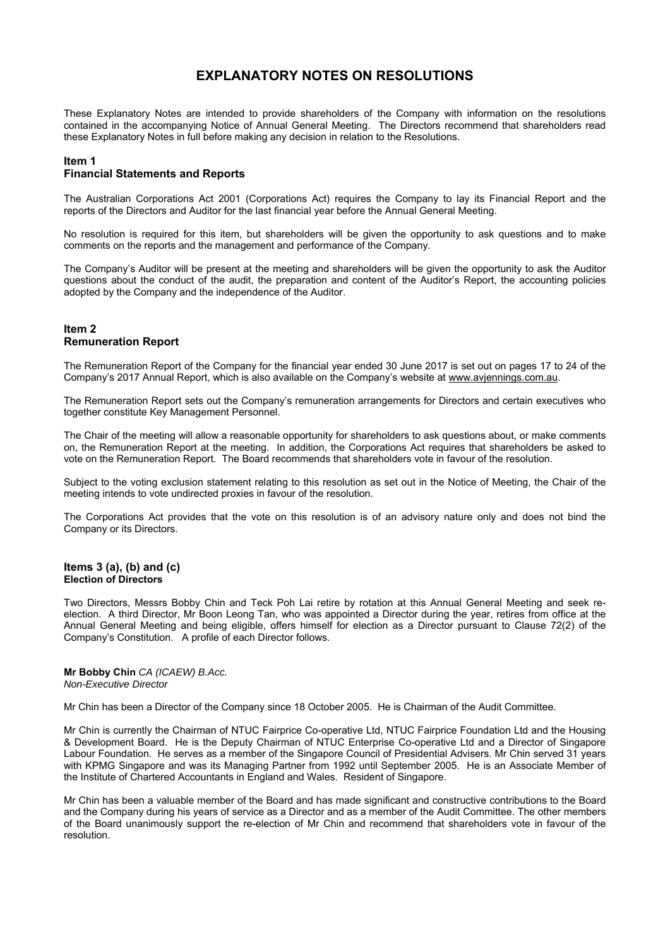## **EXPLANATORY NOTES ON RESOLUTIONS**

These Explanatory Notes are intended to provide shareholders of the Company with information on the resolutions contained in the accompanying Notice of Annual General Meeting. The Directors recommend that shareholders read these Explanatory Notes in full before making any decision in relation to the Resolutions.

# **Item 1**

### **Financial Statements and Reports**

The Australian Corporations Act 2001 (Corporations Act) requires the Company to lay its Financial Report and the reports of the Directors and Auditor for the last financial year before the Annual General Meeting.

No resolution is required for this item, but shareholders will be given the opportunity to ask questions and to make comments on the reports and the management and performance of the Company.

The Company's Auditor will be present at the meeting and shareholders will be given the opportunity to ask the Auditor questions about the conduct of the audit, the preparation and content of the Auditor's Report, the accounting policies adopted by the Company and the independence of the Auditor.

### **Item 2 Remuneration Report**

The Remuneration Report of the Company for the financial year ended 30 June 2017 is set out on pages 17 to 24 of the Company's 2017 Annual Report, which is also available on the Company's website at www.avjennings.com.au.

The Remuneration Report sets out the Company's remuneration arrangements for Directors and certain executives who together constitute Key Management Personnel.

The Chair of the meeting will allow a reasonable opportunity for shareholders to ask questions about, or make comments on, the Remuneration Report at the meeting. In addition, the Corporations Act requires that shareholders be asked to vote on the Remuneration Report. The Board recommends that shareholders vote in favour of the resolution.

Subject to the voting exclusion statement relating to this resolution as set out in the Notice of Meeting, the Chair of the meeting intends to vote undirected proxies in favour of the resolution.

The Corporations Act provides that the vote on this resolution is of an advisory nature only and does not bind the Company or its Directors.

#### **Items 3 (a), (b) and (c) Election of Directors**

Two Directors, Messrs Bobby Chin and Teck Poh Lai retire by rotation at this Annual General Meeting and seek reelection. A third Director, Mr Boon Leong Tan, who was appointed a Director during the year, retires from office at the Annual General Meeting and being eligible, offers himself for election as a Director pursuant to Clause 72(2) of the Company's Constitution. A profile of each Director follows.

**Mr Bobby Chin** *CA (ICAEW) B.Acc. Non-Executive Director* 

Mr Chin has been a Director of the Company since 18 October 2005. He is Chairman of the Audit Committee.

Mr Chin is currently the Chairman of NTUC Fairprice Co-operative Ltd, NTUC Fairprice Foundation Ltd and the Housing & Development Board. He is the Deputy Chairman of NTUC Enterprise Co-operative Ltd and a Director of Singapore Labour Foundation. He serves as a member of the Singapore Council of Presidential Advisers. Mr Chin served 31 years with KPMG Singapore and was its Managing Partner from 1992 until September 2005. He is an Associate Member of the Institute of Chartered Accountants in England and Wales. Resident of Singapore.

Mr Chin has been a valuable member of the Board and has made significant and constructive contributions to the Board and the Company during his years of service as a Director and as a member of the Audit Committee. The other members of the Board unanimously support the re-election of Mr Chin and recommend that shareholders vote in favour of the resolution.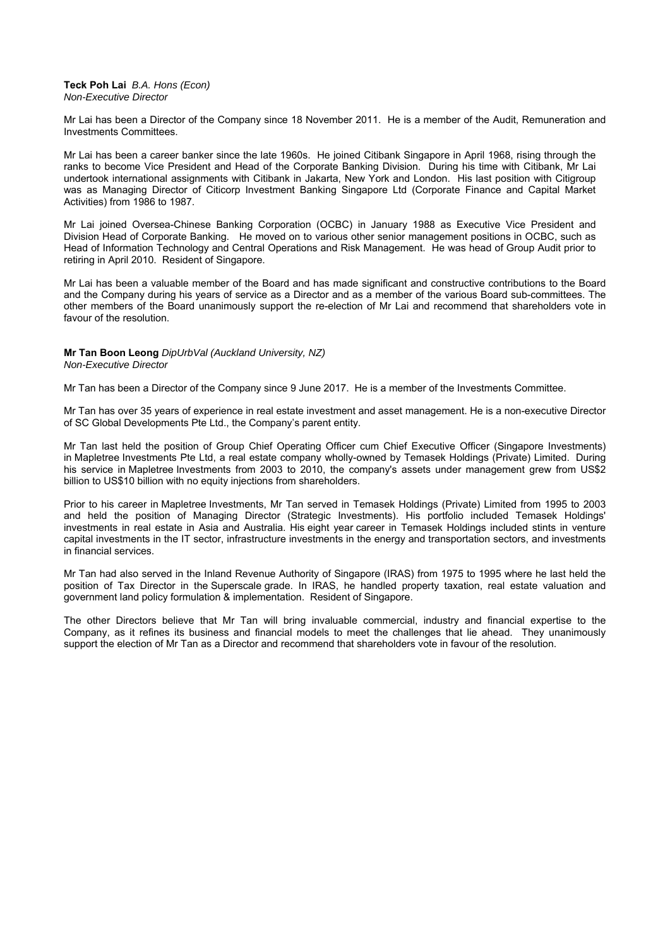#### **Teck Poh Lai** *B.A. Hons (Econ) Non-Executive Director*

Mr Lai has been a Director of the Company since 18 November 2011. He is a member of the Audit, Remuneration and Investments Committees.

Mr Lai has been a career banker since the late 1960s. He joined Citibank Singapore in April 1968, rising through the ranks to become Vice President and Head of the Corporate Banking Division. During his time with Citibank, Mr Lai undertook international assignments with Citibank in Jakarta, New York and London. His last position with Citigroup was as Managing Director of Citicorp Investment Banking Singapore Ltd (Corporate Finance and Capital Market Activities) from 1986 to 1987.

Mr Lai joined Oversea-Chinese Banking Corporation (OCBC) in January 1988 as Executive Vice President and Division Head of Corporate Banking. He moved on to various other senior management positions in OCBC, such as Head of Information Technology and Central Operations and Risk Management. He was head of Group Audit prior to retiring in April 2010. Resident of Singapore.

Mr Lai has been a valuable member of the Board and has made significant and constructive contributions to the Board and the Company during his years of service as a Director and as a member of the various Board sub-committees. The other members of the Board unanimously support the re-election of Mr Lai and recommend that shareholders vote in favour of the resolution.

## **Mr Tan Boon Leong** *DipUrbVal (Auckland University, NZ)*

*Non-Executive Director* 

Mr Tan has been a Director of the Company since 9 June 2017. He is a member of the Investments Committee.

Mr Tan has over 35 years of experience in real estate investment and asset management. He is a non-executive Director of SC Global Developments Pte Ltd., the Company's parent entity.

Mr Tan last held the position of Group Chief Operating Officer cum Chief Executive Officer (Singapore Investments) in Mapletree Investments Pte Ltd, a real estate company wholly-owned by Temasek Holdings (Private) Limited. During his service in Mapletree Investments from 2003 to 2010, the company's assets under management grew from US\$2 billion to US\$10 billion with no equity injections from shareholders.

Prior to his career in Mapletree Investments, Mr Tan served in Temasek Holdings (Private) Limited from 1995 to 2003 and held the position of Managing Director (Strategic Investments). His portfolio included Temasek Holdings' investments in real estate in Asia and Australia. His eight year career in Temasek Holdings included stints in venture capital investments in the IT sector, infrastructure investments in the energy and transportation sectors, and investments in financial services.

Mr Tan had also served in the Inland Revenue Authority of Singapore (IRAS) from 1975 to 1995 where he last held the position of Tax Director in the Superscale grade. In IRAS, he handled property taxation, real estate valuation and government land policy formulation & implementation. Resident of Singapore.

The other Directors believe that Mr Tan will bring invaluable commercial, industry and financial expertise to the Company, as it refines its business and financial models to meet the challenges that lie ahead. They unanimously support the election of Mr Tan as a Director and recommend that shareholders vote in favour of the resolution.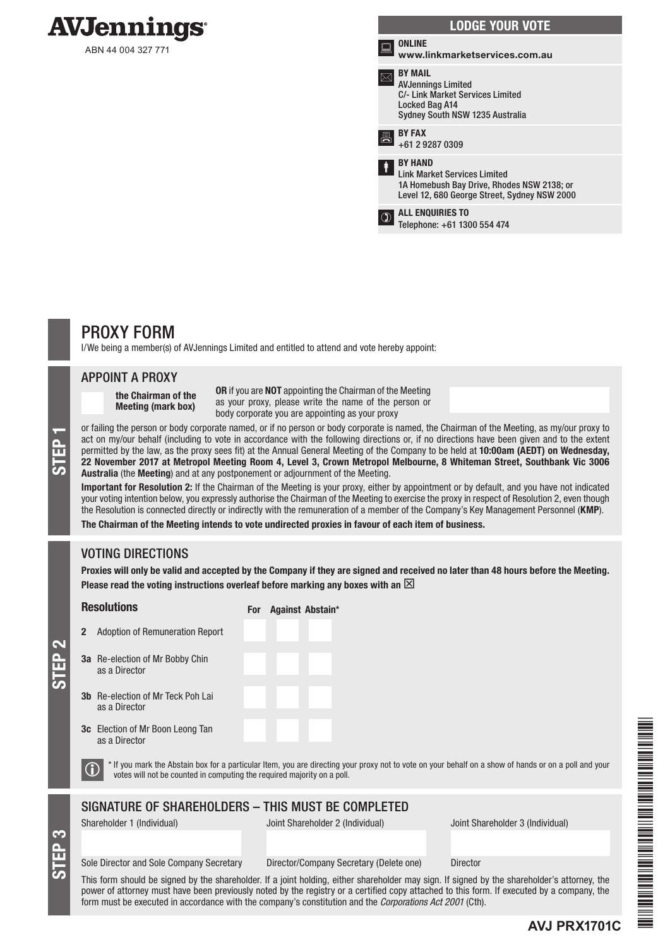

ABN 44 004 327 771

| <b>LODGE YOUR VOTE</b> |                                                                                                                                                     |
|------------------------|-----------------------------------------------------------------------------------------------------------------------------------------------------|
|                        | <b>ONLINE</b><br>www.linkmarketservices.com.au                                                                                                      |
|                        | <b>BY MAIL</b><br><b>AVJennings Limited</b><br><b>C/- Link Market Services Limited</b><br>Locked Bag A14<br>Sydney South NSW 1235 Australia         |
|                        | <b>BY FAX</b><br>+61 2 9287 0309                                                                                                                    |
| Ť                      | <b>BY HAND</b><br><b>Link Market Services Limited</b><br>1A Homebush Bay Drive, Rhodes NSW 2138; or<br>Level 12, 680 George Street, Sydney NSW 2000 |
|                        | <b>ALL ENQUIRIES TO</b><br>Telephone: +61 1300 554 474                                                                                              |

## PROXY FORM

I/We being a member(s) of AVJennings Limited and entitled to attend and vote hereby appoint:

### APPOINT A PROXY

the Chairman of the Meeting (mark box)

OR if you are NOT appointing the Chairman of the Meeting as your proxy, please write the name of the person or body corporate you are appointing as your proxy

or failing the person or body corporate named, or if no person or body corporate is named, the Chairman of the Meeting, as my/our proxy to<br>act on my/our behalf (including to vote in accordance with the following directions act on my/our behalf (including to vote in accordance with the following directions or, if no directions have been given and to the extent permitted by the law, as the proxy sees fit) at the Annual General Meeting of the Company to be held at 10:00am (AEDT) on Wednesday, Australia (the Meeting) and at any postponement or adjournment of the Meeting.

Important for Resolution 2: If the Chairman of the Meeting is your proxy, either by appointment or by default, and you have not indicated your voting intention below, you expressly authorise the Chairman of the Meeting to exercise the proxy in respect of Resolution 2, even though the Resolution is connected directly or indirectly with the remuneration of a member of the Company's Key Management Personnel (KMP).

The Chairman of the Meeting intends to vote undirected proxies in favour of each item of business.

For Against Abstain\*

## VOTING DIRECTIONS

Proxies will only be valid and accepted by the Company if they are signed and received no later than 48 hours before the Meeting. Please read the voting instructions overleaf before marking any boxes with an  $\boxtimes$ 

## 2 Adoption of Remuneration Report 3a Re-election of Mr Bobby Chin as a Director **Resolutions**

- 3b Re-election of Mr Teck Poh Lai as a Director
- 3c Election of Mr Boon Leong Tan as a Director

STEP 3

STEP 2

 $\bigcirc$  \* If you mark the Abstain box for a particular Item, you are directing your proxy not to vote on your behalf on a show of hands or on a poll and your votes will not be counted in computing the required majority on a

### SIGNATURE OF SHAREHOLDERS – THIS MUST BE COMPLETED

Shareholder 1 (Individual) Joint Shareholder 2 (Individual) Joint Shareholder 3 (Individual)

**AVJ PRX1701C**

Sole Director and Sole Company Secretary Director/Company Secretary (Delete one) Director

This form should be signed by the shareholder. If a joint holding, either shareholder may sign. If signed by the shareholder's attorney, the power of attorney must have been previously noted by the registry or a certified copy attached to this form. If executed by a company, the form must be executed in accordance with the company's constitution and the *Corporations Act 2001* (Cth).